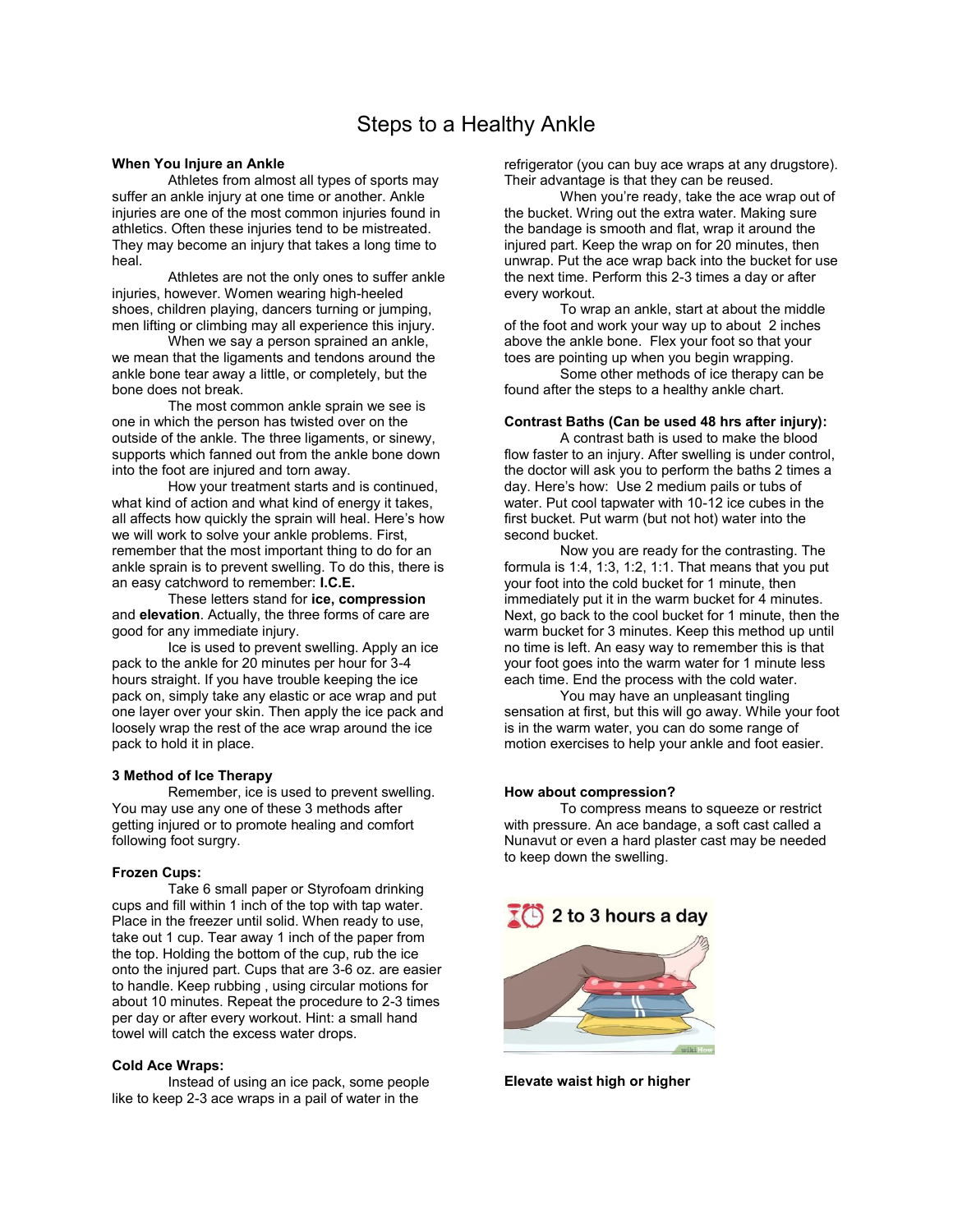# Steps to a Healthy Ankle

# **When You Injure an Ankle**

 Athletes from almost all types of sports may suffer an ankle injury at one time or another. Ankle injuries are one of the most common injuries found in athletics. Often these injuries tend to be mistreated. They may become an injury that takes a long time to heal.

 Athletes are not the only ones to suffer ankle injuries, however. Women wearing high-heeled shoes, children playing, dancers turning or jumping, men lifting or climbing may all experience this injury.

 When we say a person sprained an ankle, we mean that the ligaments and tendons around the ankle bone tear away a little, or completely, but the bone does not break.

 The most common ankle sprain we see is one in which the person has twisted over on the outside of the ankle. The three ligaments, or sinewy, supports which fanned out from the ankle bone down into the foot are injured and torn away.

 How your treatment starts and is continued, what kind of action and what kind of energy it takes, all affects how quickly the sprain will heal. Here's how we will work to solve your ankle problems. First, remember that the most important thing to do for an ankle sprain is to prevent swelling. To do this, there is an easy catchword to remember: **I.C.E.** 

These letters stand for **ice, compression**  and **elevation**. Actually, the three forms of care are good for any immediate injury.

 Ice is used to prevent swelling. Apply an ice pack to the ankle for 20 minutes per hour for 3-4 hours straight. If you have trouble keeping the ice pack on, simply take any elastic or ace wrap and put one layer over your skin. Then apply the ice pack and loosely wrap the rest of the ace wrap around the ice pack to hold it in place.

# **3 Method of Ice Therapy**

Remember, ice is used to prevent swelling. You may use any one of these 3 methods after getting injured or to promote healing and comfort following foot surgry.

# **Frozen Cups:**

Take 6 small paper or Styrofoam drinking cups and fill within 1 inch of the top with tap water. Place in the freezer until solid. When ready to use, take out 1 cup. Tear away 1 inch of the paper from the top. Holding the bottom of the cup, rub the ice onto the injured part. Cups that are 3-6 oz. are easier to handle. Keep rubbing , using circular motions for about 10 minutes. Repeat the procedure to 2-3 times per day or after every workout. Hint: a small hand towel will catch the excess water drops.

## **Cold Ace Wraps:**

Instead of using an ice pack, some people like to keep 2-3 ace wraps in a pail of water in the

refrigerator (you can buy ace wraps at any drugstore). Their advantage is that they can be reused.

 When you're ready, take the ace wrap out of the bucket. Wring out the extra water. Making sure the bandage is smooth and flat, wrap it around the injured part. Keep the wrap on for 20 minutes, then unwrap. Put the ace wrap back into the bucket for use the next time. Perform this 2-3 times a day or after every workout.

 To wrap an ankle, start at about the middle of the foot and work your way up to about 2 inches above the ankle bone. Flex your foot so that your toes are pointing up when you begin wrapping.

 Some other methods of ice therapy can be found after the steps to a healthy ankle chart.

# **Contrast Baths (Can be used 48 hrs after injury):**

A contrast bath is used to make the blood flow faster to an injury. After swelling is under control, the doctor will ask you to perform the baths 2 times a day. Here's how: Use 2 medium pails or tubs of water. Put cool tapwater with 10-12 ice cubes in the first bucket. Put warm (but not hot) water into the second bucket.

 Now you are ready for the contrasting. The formula is 1:4, 1:3, 1:2, 1:1. That means that you put your foot into the cold bucket for 1 minute, then immediately put it in the warm bucket for 4 minutes. Next, go back to the cool bucket for 1 minute, then the warm bucket for 3 minutes. Keep this method up until no time is left. An easy way to remember this is that your foot goes into the warm water for 1 minute less each time. End the process with the cold water.

 You may have an unpleasant tingling sensation at first, but this will go away. While your foot is in the warm water, you can do some range of motion exercises to help your ankle and foot easier.

#### **How about compression?**

To compress means to squeeze or restrict with pressure. An ace bandage, a soft cast called a Nunavut or even a hard plaster cast may be needed to keep down the swelling.



**Elevate waist high or higher**